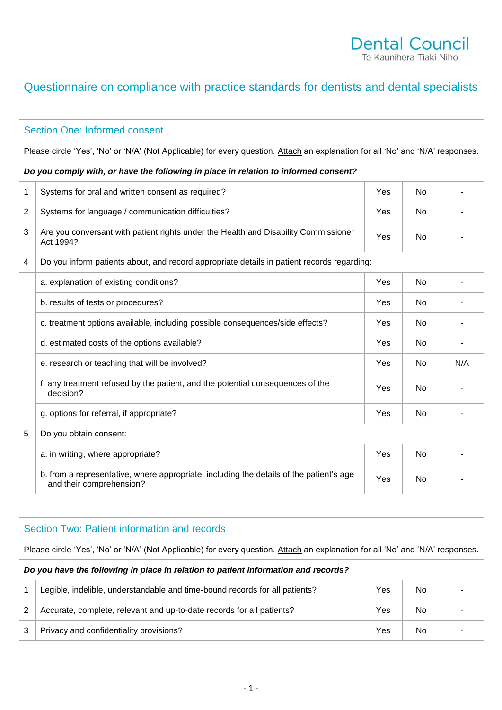### Dental Council Te Kaunihera Tiaki Niho

## Questionnaire on compliance with practice standards for dentists and dental specialists

# Section One: Informed consent Please circle 'Yes', 'No' or 'N/A' (Not Applicable) for every question. Attach an explanation for all 'No' and 'N/A' responses. *Do you comply with, or have the following in place in relation to informed consent?* 1 Systems for oral and written consent as required? The Manuson Consent as  $\sim$  No  $\sim$  -2 Systems for language / communication difficulties? The No Systems of No -3 Are you conversant with patient rights under the Health and Disability Commissioner Yes No No -4 Do you inform patients about, and record appropriate details in patient records regarding: a. explanation of existing conditions? The Conditions of existing conditions of the Conditions of the Conditions of the Conditions of the Conditions of the Conditions of the Conditions of the Conditions of the Conditions o b. results of tests or procedures? Yes No c. treatment options available, including possible consequences/side effects? Yes No d. estimated costs of the options available? Yes No e. research or teaching that will be involved? The Mexican Contract Contract Contract Contract Contract Contract No N/A f. any treatment refused by the patient, and the potential consequences of the Yes No No g. options for referral, if appropriate? A set of the set of the set of the set of the set of the set of the set of the set of the set of the set of the set of the set of the set of the set of the set of the set of the set 5 | Do you obtain consent: a. in writing, where appropriate? Yes No b. from a representative, where appropriate, including the details of the patient's age  $\begin{array}{|c|c|c|c|c|c|}\n\hline\n\text{and their comprehension?} & & & \text{--} \\
\end{array}$

## Section Two: Patient information and records Please circle 'Yes', 'No' or 'N/A' (Not Applicable) for every question. Attach an explanation for all 'No' and 'N/A' responses. *Do you have the following in place in relation to patient information and records?* 1 Legible, indelible, understandable and time-bound records for all patients? Yes No 2 Accurate, complete, relevant and up-to-date records for all patients?  $\blacksquare$  Yes No  $\blacksquare$ 3 Privacy and confidentiality provisions? The Contract of the Vest No -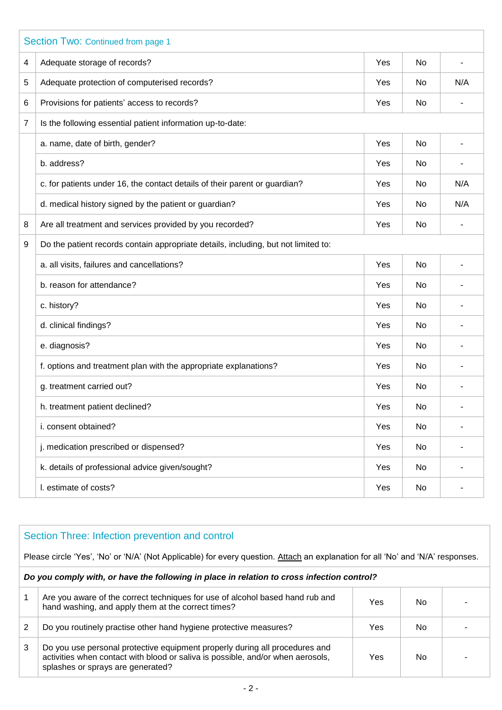|   | Section Two: Continued from page 1                                                 |     |    |     |  |
|---|------------------------------------------------------------------------------------|-----|----|-----|--|
| 4 | Adequate storage of records?                                                       | Yes | No |     |  |
| 5 | Adequate protection of computerised records?                                       | Yes | No | N/A |  |
| 6 | Provisions for patients' access to records?                                        | Yes | No |     |  |
| 7 | Is the following essential patient information up-to-date:                         |     |    |     |  |
|   | a. name, date of birth, gender?                                                    | Yes | No |     |  |
|   | b. address?                                                                        | Yes | No |     |  |
|   | c. for patients under 16, the contact details of their parent or guardian?         | Yes | No | N/A |  |
|   | d. medical history signed by the patient or guardian?                              | Yes | No | N/A |  |
| 8 | Are all treatment and services provided by you recorded?                           | Yes | No |     |  |
| 9 | Do the patient records contain appropriate details, including, but not limited to: |     |    |     |  |
|   | a. all visits, failures and cancellations?                                         | Yes | No |     |  |
|   | b. reason for attendance?                                                          | Yes | No |     |  |
|   | c. history?                                                                        | Yes | No |     |  |
|   | d. clinical findings?                                                              | Yes | No |     |  |
|   | e. diagnosis?                                                                      | Yes | No |     |  |
|   | f. options and treatment plan with the appropriate explanations?                   | Yes | No |     |  |
|   | g. treatment carried out?                                                          | Yes | No |     |  |
|   | h. treatment patient declined?                                                     | Yes | No |     |  |
|   | i. consent obtained?                                                               | Yes | No |     |  |
|   | j. medication prescribed or dispensed?                                             | Yes | No |     |  |
|   | k. details of professional advice given/sought?                                    | Yes | No |     |  |
|   | I. estimate of costs?                                                              | Yes | No |     |  |

## Section Three: Infection prevention and control

Please circle 'Yes', 'No' or 'N/A' (Not Applicable) for every question. Attach an explanation for all 'No' and 'N/A' responses.

#### *Do you comply with, or have the following in place in relation to cross infection control?*

|   | Are you aware of the correct techniques for use of alcohol based hand rub and<br>hand washing, and apply them at the correct times?                                                                 | Yes | No |  |
|---|-----------------------------------------------------------------------------------------------------------------------------------------------------------------------------------------------------|-----|----|--|
| 2 | Do you routinely practise other hand hygiene protective measures?                                                                                                                                   | Yes | No |  |
| 3 | Do you use personal protective equipment properly during all procedures and<br>activities when contact with blood or saliva is possible, and/or when aerosols,<br>splashes or sprays are generated? | Yes | No |  |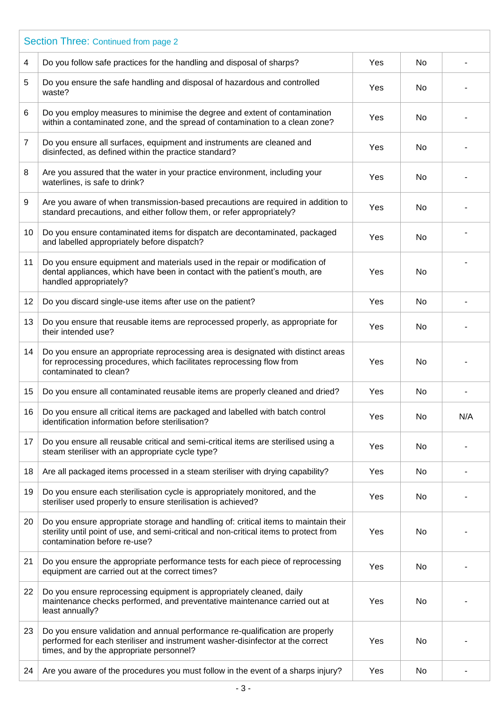|                 | Section Three: Continued from page 2                                                                                                                                                                          |     |           |     |  |  |  |
|-----------------|---------------------------------------------------------------------------------------------------------------------------------------------------------------------------------------------------------------|-----|-----------|-----|--|--|--|
| 4               | Do you follow safe practices for the handling and disposal of sharps?                                                                                                                                         | Yes | No        |     |  |  |  |
| 5               | Do you ensure the safe handling and disposal of hazardous and controlled<br>waste?                                                                                                                            | Yes | No        |     |  |  |  |
| 6               | Do you employ measures to minimise the degree and extent of contamination<br>within a contaminated zone, and the spread of contamination to a clean zone?                                                     | Yes | No        |     |  |  |  |
| 7               | Do you ensure all surfaces, equipment and instruments are cleaned and<br>disinfected, as defined within the practice standard?                                                                                | Yes | No        |     |  |  |  |
| 8               | Are you assured that the water in your practice environment, including your<br>waterlines, is safe to drink?                                                                                                  | Yes | No        |     |  |  |  |
| 9               | Are you aware of when transmission-based precautions are required in addition to<br>standard precautions, and either follow them, or refer appropriately?                                                     | Yes | No        |     |  |  |  |
| 10 <sup>°</sup> | Do you ensure contaminated items for dispatch are decontaminated, packaged<br>and labelled appropriately before dispatch?                                                                                     | Yes | <b>No</b> |     |  |  |  |
| 11              | Do you ensure equipment and materials used in the repair or modification of<br>dental appliances, which have been in contact with the patient's mouth, are<br>handled appropriately?                          | Yes | No        |     |  |  |  |
| 12              | Do you discard single-use items after use on the patient?                                                                                                                                                     | Yes | No        |     |  |  |  |
| 13              | Do you ensure that reusable items are reprocessed properly, as appropriate for<br>their intended use?                                                                                                         | Yes | No        |     |  |  |  |
| 14              | Do you ensure an appropriate reprocessing area is designated with distinct areas<br>for reprocessing procedures, which facilitates reprocessing flow from<br>contaminated to clean?                           | Yes | No        |     |  |  |  |
| 15              | Do you ensure all contaminated reusable items are properly cleaned and dried?                                                                                                                                 | Yes | No        |     |  |  |  |
| 16              | Do you ensure all critical items are packaged and labelled with batch control<br>identification information before sterilisation?                                                                             | Yes | No        | N/A |  |  |  |
| 17              | Do you ensure all reusable critical and semi-critical items are sterilised using a<br>steam steriliser with an appropriate cycle type?                                                                        | Yes | No        |     |  |  |  |
| 18              | Are all packaged items processed in a steam steriliser with drying capability?                                                                                                                                | Yes | No        |     |  |  |  |
| 19              | Do you ensure each sterilisation cycle is appropriately monitored, and the<br>steriliser used properly to ensure sterilisation is achieved?                                                                   | Yes | No        |     |  |  |  |
| 20              | Do you ensure appropriate storage and handling of: critical items to maintain their<br>sterility until point of use, and semi-critical and non-critical items to protect from<br>contamination before re-use? | Yes | No        |     |  |  |  |
| 21              | Do you ensure the appropriate performance tests for each piece of reprocessing<br>equipment are carried out at the correct times?                                                                             | Yes | No        |     |  |  |  |
| 22              | Do you ensure reprocessing equipment is appropriately cleaned, daily<br>maintenance checks performed, and preventative maintenance carried out at<br>least annually?                                          | Yes | No        |     |  |  |  |
| 23              | Do you ensure validation and annual performance re-qualification are properly<br>performed for each steriliser and instrument washer-disinfector at the correct<br>times, and by the appropriate personnel?   | Yes | No        |     |  |  |  |
| 24              | Are you aware of the procedures you must follow in the event of a sharps injury?                                                                                                                              | Yes | No        |     |  |  |  |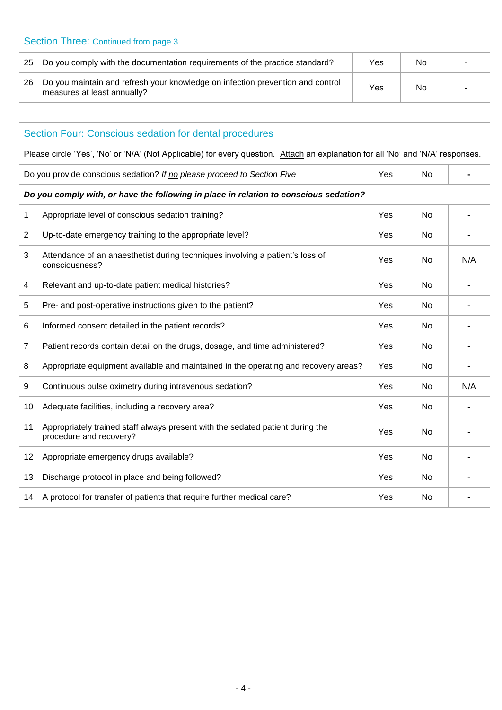| Section Three: Continued from page 3 |                                                                                                               |     |    |  |
|--------------------------------------|---------------------------------------------------------------------------------------------------------------|-----|----|--|
| -25                                  | Do you comply with the documentation requirements of the practice standard?                                   | Yes | No |  |
| 26                                   | Do you maintain and refresh your knowledge on infection prevention and control<br>measures at least annually? | Yes | No |  |

| Section Four: Conscious sedation for dental procedures |                                                                                                                                 |     |           |     |  |
|--------------------------------------------------------|---------------------------------------------------------------------------------------------------------------------------------|-----|-----------|-----|--|
|                                                        | Please circle 'Yes', 'No' or 'N/A' (Not Applicable) for every question. Attach an explanation for all 'No' and 'N/A' responses. |     |           |     |  |
|                                                        | Do you provide conscious sedation? If no please proceed to Section Five                                                         | Yes | No        |     |  |
|                                                        | Do you comply with, or have the following in place in relation to conscious sedation?                                           |     |           |     |  |
| 1                                                      | Appropriate level of conscious sedation training?                                                                               | Yes | No        |     |  |
| $\overline{2}$                                         | Up-to-date emergency training to the appropriate level?                                                                         | Yes | No        |     |  |
| 3                                                      | Attendance of an anaesthetist during techniques involving a patient's loss of<br>consciousness?                                 | Yes | No        | N/A |  |
| $\overline{4}$                                         | Relevant and up-to-date patient medical histories?                                                                              | Yes | No        |     |  |
| 5                                                      | Pre- and post-operative instructions given to the patient?                                                                      | Yes | No        |     |  |
| 6                                                      | Informed consent detailed in the patient records?                                                                               | Yes | <b>No</b> |     |  |
| $\overline{7}$                                         | Patient records contain detail on the drugs, dosage, and time administered?                                                     | Yes | No        |     |  |
| 8                                                      | Appropriate equipment available and maintained in the operating and recovery areas?                                             | Yes | No        |     |  |
| 9                                                      | Continuous pulse oximetry during intravenous sedation?                                                                          | Yes | <b>No</b> | N/A |  |
| 10                                                     | Adequate facilities, including a recovery area?                                                                                 | Yes | No        |     |  |
| 11                                                     | Appropriately trained staff always present with the sedated patient during the<br>procedure and recovery?                       | Yes | No        |     |  |
| 12                                                     | Appropriate emergency drugs available?                                                                                          | Yes | No        |     |  |
| 13                                                     | Discharge protocol in place and being followed?                                                                                 | Yes | No        |     |  |
| 14                                                     | A protocol for transfer of patients that require further medical care?                                                          | Yes | No        |     |  |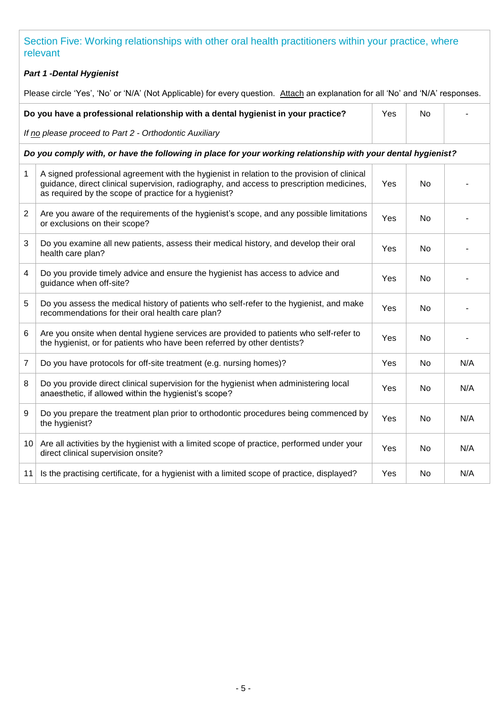Section Five: Working relationships with other oral health practitioners within your practice, where relevant

#### *Part 1 -Dental Hygienist*

Please circle 'Yes', 'No' or 'N/A' (Not Applicable) for every question. Attach an explanation for all 'No' and 'N/A' responses.

| Do you have a professional relationship with a dental hygienist in your practice? | Yes | No | $\overline{\phantom{a}}$ |  |
|-----------------------------------------------------------------------------------|-----|----|--------------------------|--|
| If no please proceed to Part 2 - Orthodontic Auxiliary                            |     |    |                          |  |

*Do you comply with, or have the following in place for your working relationship with your dental hygienist?*

| 1               | A signed professional agreement with the hygienist in relation to the provision of clinical<br>guidance, direct clinical supervision, radiography, and access to prescription medicines,<br>as required by the scope of practice for a hygienist? | Yes        | No.            |     |
|-----------------|---------------------------------------------------------------------------------------------------------------------------------------------------------------------------------------------------------------------------------------------------|------------|----------------|-----|
| 2               | Are you aware of the requirements of the hygienist's scope, and any possible limitations<br>or exclusions on their scope?                                                                                                                         | Yes        | <b>No</b>      |     |
| 3               | Do you examine all new patients, assess their medical history, and develop their oral<br>health care plan?                                                                                                                                        | <b>Yes</b> | <b>No</b>      |     |
| $\overline{4}$  | Do you provide timely advice and ensure the hygienist has access to advice and<br>guidance when off-site?                                                                                                                                         | <b>Yes</b> | <b>No</b>      |     |
| 5               | Do you assess the medical history of patients who self-refer to the hygienist, and make<br>recommendations for their oral health care plan?                                                                                                       | Yes        | <b>No</b>      |     |
| 6               | Are you onsite when dental hygiene services are provided to patients who self-refer to<br>the hygienist, or for patients who have been referred by other dentists?                                                                                | Yes        | <b>No</b>      |     |
| $\overline{7}$  | Do you have protocols for off-site treatment (e.g. nursing homes)?                                                                                                                                                                                | Yes        | No             | N/A |
| 8               | Do you provide direct clinical supervision for the hygienist when administering local<br>anaesthetic, if allowed within the hygienist's scope?                                                                                                    | Yes        | No             | N/A |
| 9               | Do you prepare the treatment plan prior to orthodontic procedures being commenced by<br>the hygienist?                                                                                                                                            | Yes        | No.            | N/A |
| 10 <sub>1</sub> | Are all activities by the hygienist with a limited scope of practice, performed under your<br>direct clinical supervision onsite?                                                                                                                 | Yes        | No             | N/A |
| 11              | Is the practising certificate, for a hygienist with a limited scope of practice, displayed?                                                                                                                                                       | <b>Yes</b> | N <sub>0</sub> | N/A |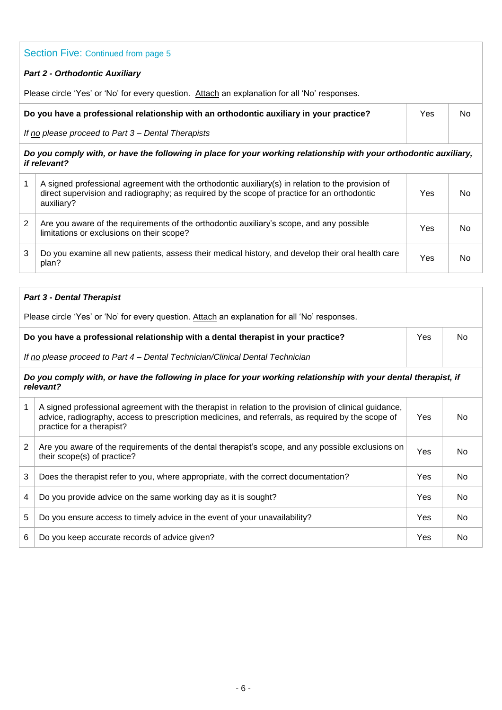## Section Five: Continued from page 5 *Part 2 - Orthodontic Auxiliary* Please circle 'Yes' or 'No' for every question. Attach an explanation for all 'No' responses. **Do you have a professional relationship with an orthodontic auxiliary in your practice?**  *If no please proceed to Part 3 – Dental Therapists*  Yes | No *Do you comply with, or have the following in place for your working relationship with your orthodontic auxiliary,*

*if relevant?* 1 A signed professional agreement with the orthodontic auxiliary(s) in relation to the provision of direct supervision and radiography; as required by the scope of practice for an orthodontic auxiliary? Yes | No 2 Are you aware of the requirements of the orthodontic auxiliary's scope, and any possible limitations or exclusions on their scope? Yes No 3 Do you examine all new patients, assess their medical history, and develop their oral health care plan? Yes No

## *Part 3 - Dental Therapist* Please circle 'Yes' or 'No' for every question. Attach an explanation for all 'No' responses. **Do you have a professional relationship with a dental therapist in your practice?** *If no please proceed to Part 4 – Dental Technician/Clinical Dental Technician* Yes No *Do you comply with, or have the following in place for your working relationship with your dental therapist, if relevant?* 1 A signed professional agreement with the therapist in relation to the provision of clinical guidance, advice, radiography, access to prescription medicines, and referrals, as required by the scope of practice for a therapist? Yes No 2 | Are you aware of the requirements of the dental therapist's scope, and any possible exclusions on | Yes | No<br>| their scope(s) of practice? 3 Does the therapist refer to you, where appropriate, with the correct documentation? Yes No 4 Do you provide advice on the same working day as it is sought? The No of the Second Second Second Second Second Second Second Second Second Second Second Second Second Second Second Second Second Second Second Second Sec 5 Do you ensure access to timely advice in the event of your unavailability? The Mo No No No No No

6 Do you keep accurate records of advice given? The same state of the state of the No of the No of the No of the No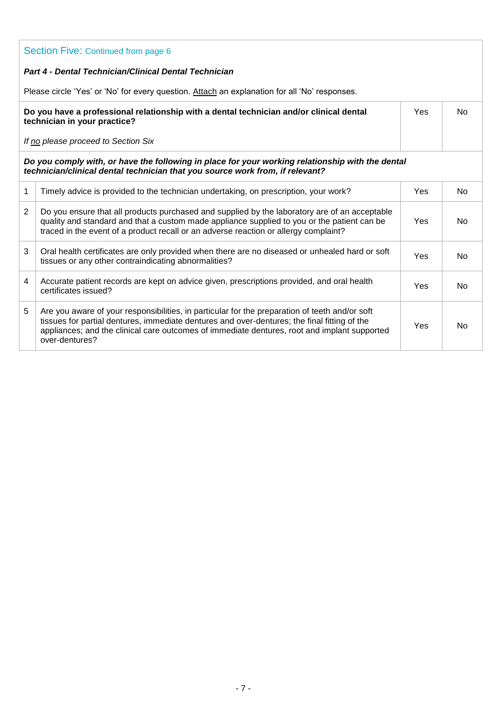| Section Five: Continued from page 6                                                                                                                                               |                                                                                                                                                                                                                                                                                                                  |     |                |  |
|-----------------------------------------------------------------------------------------------------------------------------------------------------------------------------------|------------------------------------------------------------------------------------------------------------------------------------------------------------------------------------------------------------------------------------------------------------------------------------------------------------------|-----|----------------|--|
|                                                                                                                                                                                   | <b>Part 4 - Dental Technician/Clinical Dental Technician</b>                                                                                                                                                                                                                                                     |     |                |  |
|                                                                                                                                                                                   | Please circle 'Yes' or 'No' for every question. Attach an explanation for all 'No' responses.                                                                                                                                                                                                                    |     |                |  |
| Do you have a professional relationship with a dental technician and/or clinical dental<br>Yes<br>technician in your practice?                                                    |                                                                                                                                                                                                                                                                                                                  |     | <b>No</b>      |  |
|                                                                                                                                                                                   | If no please proceed to Section Six                                                                                                                                                                                                                                                                              |     |                |  |
| Do you comply with, or have the following in place for your working relationship with the dental<br>technician/clinical dental technician that you source work from, if relevant? |                                                                                                                                                                                                                                                                                                                  |     |                |  |
| $\mathbf{1}$                                                                                                                                                                      | Timely advice is provided to the technician undertaking, on prescription, your work?                                                                                                                                                                                                                             | Yes | No.            |  |
| 2                                                                                                                                                                                 | Do you ensure that all products purchased and supplied by the laboratory are of an acceptable<br>quality and standard and that a custom made appliance supplied to you or the patient can be<br>traced in the event of a product recall or an adverse reaction or allergy complaint?                             | Yes | <b>No</b>      |  |
| 3                                                                                                                                                                                 | Oral health certificates are only provided when there are no diseased or unhealed hard or soft<br>tissues or any other contraindicating abnormalities?                                                                                                                                                           | Yes | <b>No</b>      |  |
| 4                                                                                                                                                                                 | Accurate patient records are kept on advice given, prescriptions provided, and oral health<br>certificates issued?                                                                                                                                                                                               | Yes | <b>No</b>      |  |
| 5                                                                                                                                                                                 | Are you aware of your responsibilities, in particular for the preparation of teeth and/or soft<br>tissues for partial dentures, immediate dentures and over-dentures; the final fitting of the<br>appliances; and the clinical care outcomes of immediate dentures, root and implant supported<br>over-dentures? | Yes | N <sub>0</sub> |  |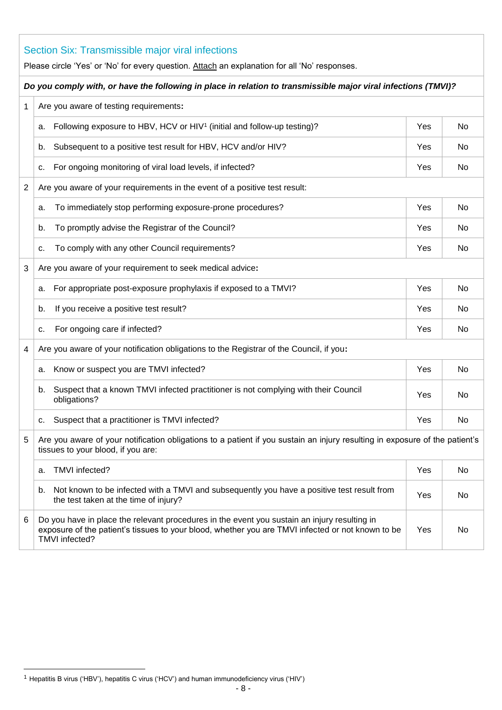|                | Section Six: Transmissible major viral infections<br>Please circle 'Yes' or 'No' for every question. Attach an explanation for all 'No' responses.                                                                  |     |     |  |  |
|----------------|---------------------------------------------------------------------------------------------------------------------------------------------------------------------------------------------------------------------|-----|-----|--|--|
|                | Do you comply with, or have the following in place in relation to transmissible major viral infections (TMVI)?                                                                                                      |     |     |  |  |
| 1              | Are you aware of testing requirements:                                                                                                                                                                              |     |     |  |  |
|                | Following exposure to HBV, HCV or HIV <sup>1</sup> (initial and follow-up testing)?<br>a.                                                                                                                           | Yes | No. |  |  |
|                | Subsequent to a positive test result for HBV, HCV and/or HIV?<br>b.                                                                                                                                                 | Yes | No. |  |  |
|                | For ongoing monitoring of viral load levels, if infected?<br>c.                                                                                                                                                     | Yes | No. |  |  |
| $\overline{2}$ | Are you aware of your requirements in the event of a positive test result:                                                                                                                                          |     |     |  |  |
|                | To immediately stop performing exposure-prone procedures?<br>a.                                                                                                                                                     | Yes | No. |  |  |
|                | To promptly advise the Registrar of the Council?<br>b.                                                                                                                                                              | Yes | No. |  |  |
|                | To comply with any other Council requirements?<br>c.                                                                                                                                                                | Yes | No. |  |  |
| 3              | Are you aware of your requirement to seek medical advice:                                                                                                                                                           |     |     |  |  |
|                | For appropriate post-exposure prophylaxis if exposed to a TMVI?<br>а.                                                                                                                                               | Yes | No. |  |  |
|                | If you receive a positive test result?<br>b.                                                                                                                                                                        | Yes | No. |  |  |
|                | For ongoing care if infected?<br>с.                                                                                                                                                                                 | Yes | No. |  |  |
| 4              | Are you aware of your notification obligations to the Registrar of the Council, if you:                                                                                                                             |     |     |  |  |
|                | Know or suspect you are TMVI infected?<br>а.                                                                                                                                                                        | Yes | No. |  |  |
|                | Suspect that a known TMVI infected practitioner is not complying with their Council<br>b.<br>obligations?                                                                                                           | Yes | No  |  |  |
|                | Suspect that a practitioner is TMVI infected?<br>c.                                                                                                                                                                 | Yes | No  |  |  |
| 5              | Are you aware of your notification obligations to a patient if you sustain an injury resulting in exposure of the patient's<br>tissues to your blood, if you are:                                                   |     |     |  |  |
|                | TMVI infected?<br>a.                                                                                                                                                                                                | Yes | No  |  |  |
|                | Not known to be infected with a TMVI and subsequently you have a positive test result from<br>b.<br>the test taken at the time of injury?                                                                           | Yes | No. |  |  |
| 6              | Do you have in place the relevant procedures in the event you sustain an injury resulting in<br>exposure of the patient's tissues to your blood, whether you are TMVI infected or not known to be<br>TMVI infected? | Yes | No  |  |  |

l

<sup>&</sup>lt;sup>1</sup> Hepatitis B virus ('HBV'), hepatitis C virus ('HCV') and human immunodeficiency virus ('HIV')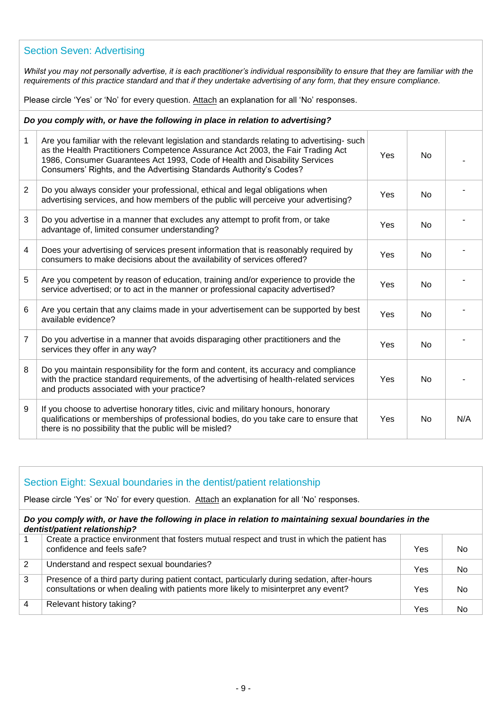#### Section Seven: Advertising

*Whilst you may not personally advertise, it is each practitioner's individual responsibility to ensure that they are familiar with the requirements of this practice standard and that if they undertake advertising of any form, that they ensure compliance.*

Please circle 'Yes' or 'No' for every question. Attach an explanation for all 'No' responses.

#### *Do you comply with, or have the following in place in relation to advertising?*

| 1               | Are you familiar with the relevant legislation and standards relating to advertising- such<br>as the Health Practitioners Competence Assurance Act 2003, the Fair Trading Act<br>1986, Consumer Guarantees Act 1993, Code of Health and Disability Services<br>Consumers' Rights, and the Advertising Standards Authority's Codes? | Yes | No.            |     |
|-----------------|------------------------------------------------------------------------------------------------------------------------------------------------------------------------------------------------------------------------------------------------------------------------------------------------------------------------------------|-----|----------------|-----|
| $\overline{2}$  | Do you always consider your professional, ethical and legal obligations when<br>advertising services, and how members of the public will perceive your advertising?                                                                                                                                                                | Yes | No             |     |
| 3               | Do you advertise in a manner that excludes any attempt to profit from, or take<br>advantage of, limited consumer understanding?                                                                                                                                                                                                    | Yes | No             |     |
| 4               | Does your advertising of services present information that is reasonably required by<br>consumers to make decisions about the availability of services offered?                                                                                                                                                                    | Yes | N <sub>o</sub> |     |
| 5               | Are you competent by reason of education, training and/or experience to provide the<br>service advertised; or to act in the manner or professional capacity advertised?                                                                                                                                                            | Yes | N <sub>o</sub> |     |
| $6\phantom{1}6$ | Are you certain that any claims made in your advertisement can be supported by best<br>available evidence?                                                                                                                                                                                                                         | Yes | N <sub>o</sub> |     |
| $\overline{7}$  | Do you advertise in a manner that avoids disparaging other practitioners and the<br>services they offer in any way?                                                                                                                                                                                                                | Yes | N <sub>o</sub> |     |
| 8               | Do you maintain responsibility for the form and content, its accuracy and compliance<br>with the practice standard requirements, of the advertising of health-related services<br>and products associated with your practice?                                                                                                      | Yes | No             |     |
| 9               | If you choose to advertise honorary titles, civic and military honours, honorary<br>qualifications or memberships of professional bodies, do you take care to ensure that<br>there is no possibility that the public will be misled?                                                                                               | Yes | N <sub>o</sub> | N/A |

| Section Eight: Sexual boundaries in the dentist/patient relationship<br>Please circle 'Yes' or 'No' for every question. Attach an explanation for all 'No' responses. |                                                                                                                                                                                   |            |     |  |  |
|-----------------------------------------------------------------------------------------------------------------------------------------------------------------------|-----------------------------------------------------------------------------------------------------------------------------------------------------------------------------------|------------|-----|--|--|
|                                                                                                                                                                       | Do you comply with, or have the following in place in relation to maintaining sexual boundaries in the<br>dentist/patient relationship?                                           |            |     |  |  |
|                                                                                                                                                                       | Create a practice environment that fosters mutual respect and trust in which the patient has<br>confidence and feels safe?                                                        | Yes        | No. |  |  |
| 2                                                                                                                                                                     | Understand and respect sexual boundaries?                                                                                                                                         | Yes        | No. |  |  |
| 3                                                                                                                                                                     | Presence of a third party during patient contact, particularly during sedation, after-hours<br>consultations or when dealing with patients more likely to misinterpret any event? | <b>Yes</b> | No. |  |  |
| $\overline{4}$                                                                                                                                                        | Relevant history taking?                                                                                                                                                          | Yes        | No  |  |  |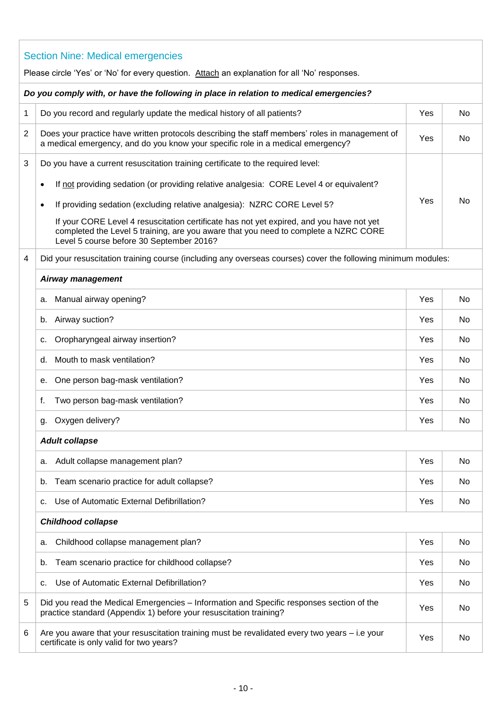|                                                                                        | <b>Section Nine: Medical emergencies</b>                                                                                                                                                                                    |     |    |  |  |
|----------------------------------------------------------------------------------------|-----------------------------------------------------------------------------------------------------------------------------------------------------------------------------------------------------------------------------|-----|----|--|--|
|                                                                                        | Please circle 'Yes' or 'No' for every question. Attach an explanation for all 'No' responses.                                                                                                                               |     |    |  |  |
| Do you comply with, or have the following in place in relation to medical emergencies? |                                                                                                                                                                                                                             |     |    |  |  |
| $\mathbf{1}$                                                                           | Do you record and regularly update the medical history of all patients?                                                                                                                                                     | Yes | No |  |  |
| $\overline{2}$                                                                         | Does your practice have written protocols describing the staff members' roles in management of<br>a medical emergency, and do you know your specific role in a medical emergency?                                           | Yes | No |  |  |
| 3                                                                                      | Do you have a current resuscitation training certificate to the required level:                                                                                                                                             |     |    |  |  |
|                                                                                        | If not providing sedation (or providing relative analgesia: CORE Level 4 or equivalent?<br>$\bullet$                                                                                                                        |     |    |  |  |
|                                                                                        | If providing sedation (excluding relative analgesia): NZRC CORE Level 5?<br>$\bullet$                                                                                                                                       | Yes | No |  |  |
|                                                                                        | If your CORE Level 4 resuscitation certificate has not yet expired, and you have not yet<br>completed the Level 5 training, are you aware that you need to complete a NZRC CORE<br>Level 5 course before 30 September 2016? |     |    |  |  |
| 4                                                                                      | Did your resuscitation training course (including any overseas courses) cover the following minimum modules:                                                                                                                |     |    |  |  |
|                                                                                        | <b>Airway management</b>                                                                                                                                                                                                    |     |    |  |  |
|                                                                                        | a. Manual airway opening?                                                                                                                                                                                                   | Yes | No |  |  |
|                                                                                        | b. Airway suction?                                                                                                                                                                                                          | Yes | No |  |  |
|                                                                                        | Oropharyngeal airway insertion?<br>с.                                                                                                                                                                                       | Yes | No |  |  |
|                                                                                        | d. Mouth to mask ventilation?                                                                                                                                                                                               | Yes | No |  |  |
|                                                                                        | e. One person bag-mask ventilation?                                                                                                                                                                                         | Yes | No |  |  |
|                                                                                        | Two person bag-mask ventilation?<br>f.                                                                                                                                                                                      | Yes | No |  |  |
|                                                                                        | g. Oxygen delivery?                                                                                                                                                                                                         | Yes | No |  |  |
|                                                                                        | <b>Adult collapse</b>                                                                                                                                                                                                       |     |    |  |  |
|                                                                                        | Adult collapse management plan?<br>а.                                                                                                                                                                                       | Yes | No |  |  |
|                                                                                        | Team scenario practice for adult collapse?<br>b.                                                                                                                                                                            | Yes | No |  |  |
|                                                                                        | Use of Automatic External Defibrillation?<br>c.                                                                                                                                                                             | Yes | No |  |  |
|                                                                                        | <b>Childhood collapse</b>                                                                                                                                                                                                   |     |    |  |  |
|                                                                                        | Childhood collapse management plan?<br>а.                                                                                                                                                                                   | Yes | No |  |  |
|                                                                                        | Team scenario practice for childhood collapse?<br>b.                                                                                                                                                                        | Yes | No |  |  |
|                                                                                        | Use of Automatic External Defibrillation?<br>c.                                                                                                                                                                             | Yes | No |  |  |
| 5                                                                                      | Did you read the Medical Emergencies - Information and Specific responses section of the<br>practice standard (Appendix 1) before your resuscitation training?                                                              | Yes | No |  |  |
| 6                                                                                      | Are you aware that your resuscitation training must be revalidated every two years - i.e your<br>certificate is only valid for two years?                                                                                   | Yes | No |  |  |